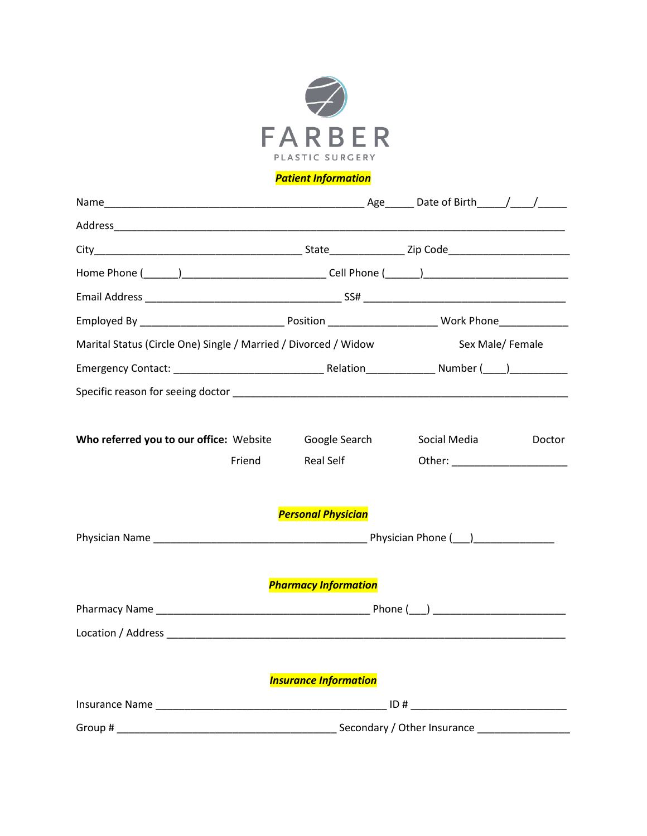

# *Patient Information*

| Marital Status (Circle One) Single / Married / Divorced / Widow |                              | Sex Male/Female                  |        |  |
|-----------------------------------------------------------------|------------------------------|----------------------------------|--------|--|
|                                                                 |                              |                                  |        |  |
|                                                                 |                              |                                  |        |  |
| Who referred you to our office: Website Google Search           |                              | Social Media                     | Doctor |  |
| Friend                                                          | Real Self                    | Other: _________________________ |        |  |
|                                                                 | <b>Personal Physician</b>    |                                  |        |  |
|                                                                 |                              |                                  |        |  |
|                                                                 | <b>Pharmacy Information</b>  |                                  |        |  |
|                                                                 |                              |                                  |        |  |
|                                                                 |                              |                                  |        |  |
|                                                                 | <b>Insurance Information</b> |                                  |        |  |
|                                                                 |                              |                                  |        |  |
|                                                                 |                              |                                  |        |  |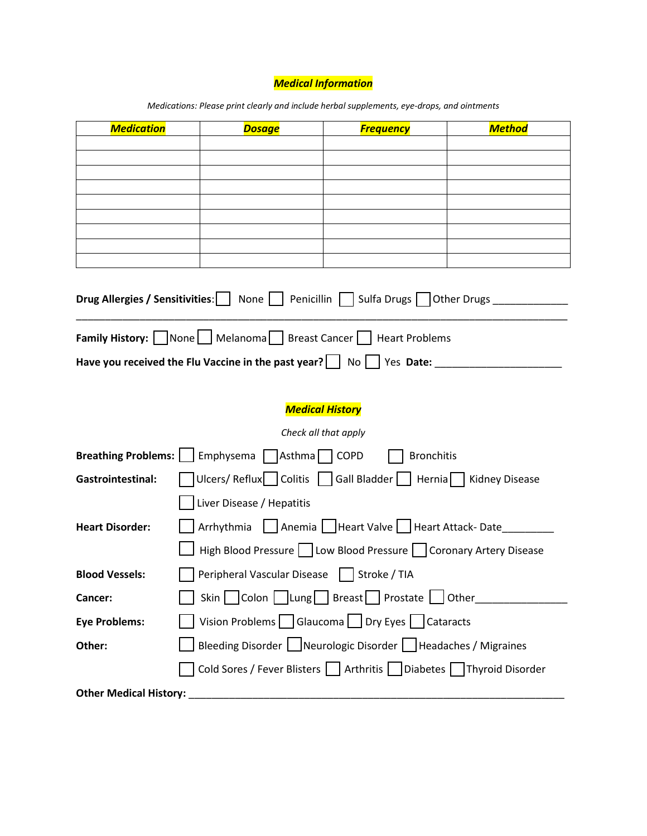# *Medical Information*

| <b>Medication</b>                                                                                        | <b>Dosage</b>                                                               | <b>Frequency</b>                                                | <b>Method</b> |  |
|----------------------------------------------------------------------------------------------------------|-----------------------------------------------------------------------------|-----------------------------------------------------------------|---------------|--|
|                                                                                                          |                                                                             |                                                                 |               |  |
|                                                                                                          |                                                                             |                                                                 |               |  |
|                                                                                                          |                                                                             |                                                                 |               |  |
|                                                                                                          |                                                                             |                                                                 |               |  |
|                                                                                                          |                                                                             |                                                                 |               |  |
|                                                                                                          |                                                                             |                                                                 |               |  |
| Drug Allergies / Sensitivities:   None     Penicillin   Sulfa Drugs     Other Drugs                      |                                                                             |                                                                 |               |  |
|                                                                                                          | <b>Family History:</b>   None   Melanoma   Breast Cancer     Heart Problems |                                                                 |               |  |
| Have you received the Flu Vaccine in the past year? $\vert \cdot \vert$ No $\vert \cdot \vert$ Yes Date: |                                                                             |                                                                 |               |  |
|                                                                                                          |                                                                             |                                                                 |               |  |
|                                                                                                          |                                                                             | <b>Medical History</b>                                          |               |  |
|                                                                                                          |                                                                             | Check all that apply                                            |               |  |
| <b>Breathing Problems:</b>                                                                               | Emphysema $\sqrt{ }$<br>Asthma <sup>O</sup> COPD                            | <b>Bronchitis</b>                                               |               |  |
| <b>Gastrointestinal:</b>                                                                                 | Ulcers/Reflux   Colitis   Gall Bladder     Hernia   Kidney Disease          |                                                                 |               |  |
|                                                                                                          | Liver Disease / Hepatitis                                                   |                                                                 |               |  |
| <b>Heart Disorder:</b>                                                                                   | Arrhythmia   Anemia   Heart Valve   Heart Attack-Date                       |                                                                 |               |  |
|                                                                                                          | High Blood Pressure   Low Blood Pressure   Coronary Artery Disease          |                                                                 |               |  |
| <b>Blood Vessels:</b>                                                                                    | Peripheral Vascular Disease   Stroke / TIA                                  |                                                                 |               |  |
| Cancer:                                                                                                  | Skin   Colon   Lung   Breast   Prostate   Other _____________               |                                                                 |               |  |
| <b>Eye Problems:</b>                                                                                     | Vision Problems   Glaucoma   Dry Eyes   Cataracts                           |                                                                 |               |  |
| Other:                                                                                                   |                                                                             | Bleeding Disorder   Neurologic Disorder   Headaches / Migraines |               |  |
|                                                                                                          | Cold Sores / Fever Blisters     Arthritis     Diabetes   Thyroid Disorder   |                                                                 |               |  |
| <b>Other Medical History:</b>                                                                            |                                                                             |                                                                 |               |  |

*Medications: Please print clearly and include herbal supplements, eye-drops, and ointments*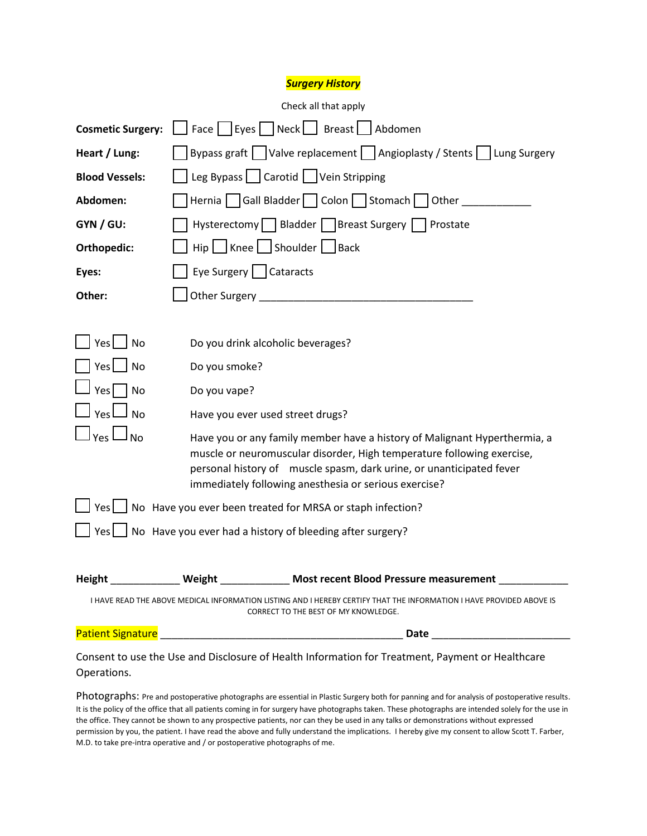## *Surgery History*

| Check all that apply                                                                                                                                                                                                                                                                                          |                           |                                                                                     |
|---------------------------------------------------------------------------------------------------------------------------------------------------------------------------------------------------------------------------------------------------------------------------------------------------------------|---------------------------|-------------------------------------------------------------------------------------|
| <b>Cosmetic Surgery:</b>                                                                                                                                                                                                                                                                                      |                           | $\Box$ Face $\Box$ Eyes $\Box$ Neck $\Box$ Breast $\Box$ Abdomen                    |
| Heart / Lung:                                                                                                                                                                                                                                                                                                 |                           | Bypass graft   Valve replacement   Angioplasty / Stents   Lung Surgery              |
| <b>Blood Vessels:</b>                                                                                                                                                                                                                                                                                         |                           | Leg Bypass $\Box$ Carotid   Vein Stripping                                          |
| Abdomen:                                                                                                                                                                                                                                                                                                      |                           |                                                                                     |
| GYN / GU:                                                                                                                                                                                                                                                                                                     |                           | Hysterectomy   Bladder   Breast Surgery   Prostate                                  |
| Orthopedic:                                                                                                                                                                                                                                                                                                   |                           | Hip   Knee   Shoulder   Back                                                        |
| Eyes:                                                                                                                                                                                                                                                                                                         | Eye Surgery     Cataracts |                                                                                     |
| Other:                                                                                                                                                                                                                                                                                                        |                           |                                                                                     |
|                                                                                                                                                                                                                                                                                                               |                           |                                                                                     |
| Yes No                                                                                                                                                                                                                                                                                                        |                           | Do you drink alcoholic beverages?                                                   |
| $Yes \mid \text{No}$                                                                                                                                                                                                                                                                                          | Do you smoke?             |                                                                                     |
| $Yes \nightharpoonup No$                                                                                                                                                                                                                                                                                      | Do you vape?              |                                                                                     |
| $\sqcup$ $_{\sf Yes}$ $\sqcup$ $_{\sf No}$                                                                                                                                                                                                                                                                    |                           | Have you ever used street drugs?                                                    |
| $\vert$ Yes $\Box$ No<br>Have you or any family member have a history of Malignant Hyperthermia, a<br>muscle or neuromuscular disorder, High temperature following exercise,<br>personal history of muscle spasm, dark urine, or unanticipated fever<br>immediately following anesthesia or serious exercise? |                           |                                                                                     |
|                                                                                                                                                                                                                                                                                                               |                           | $\Box$ Yes $\Box$ No Have you ever been treated for MRSA or staph infection?        |
| $Yes \bigsqcup No$ Have you ever had a history of bleeding after surgery?                                                                                                                                                                                                                                     |                           |                                                                                     |
|                                                                                                                                                                                                                                                                                                               |                           |                                                                                     |
|                                                                                                                                                                                                                                                                                                               |                           | Height ______________ Weight _____________ Most recent Blood Pressure measurement _ |
| I HAVE READ THE ABOVE MEDICAL INFORMATION LISTING AND I HEREBY CERTIFY THAT THE INFORMATION I HAVE PROVIDED ABOVE IS<br>CORRECT TO THE BEST OF MY KNOWLEDGE.                                                                                                                                                  |                           |                                                                                     |
| <b>Patient Signature</b>                                                                                                                                                                                                                                                                                      |                           | Date                                                                                |

Consent to use the Use and Disclosure of Health Information for Treatment, Payment or Healthcare Operations.

Photographs: Pre and postoperative photographs are essential in Plastic Surgery both for panning and for analysis of postoperative results. It is the policy of the office that all patients coming in for surgery have photographs taken. These photographs are intended solely for the use in the office. They cannot be shown to any prospective patients, nor can they be used in any talks or demonstrations without expressed permission by you, the patient. I have read the above and fully understand the implications. I hereby give my consent to allow Scott T. Farber, M.D. to take pre-intra operative and / or postoperative photographs of me.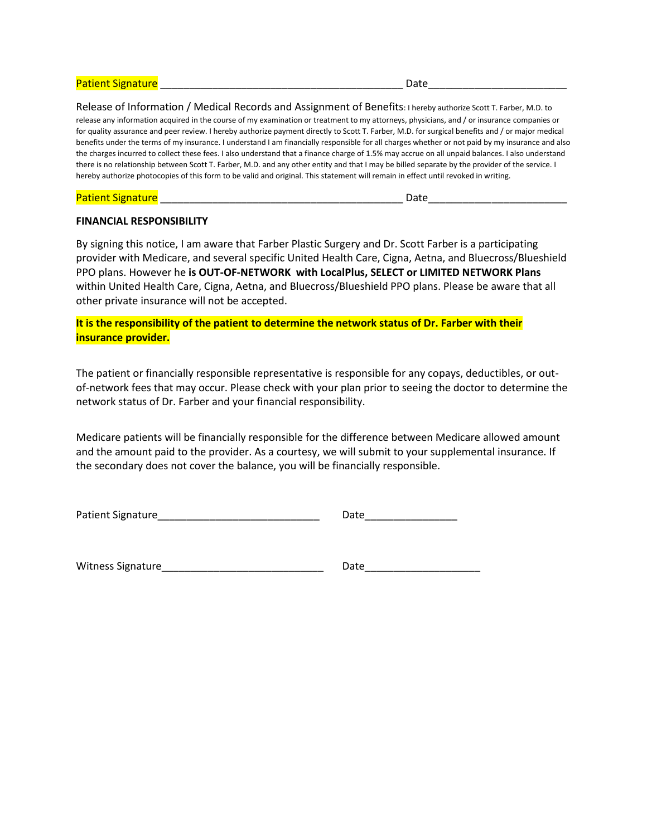#### Patient Signature and the set of the set of the set of the set of the set of the set of the set of the set of t

Release of Information / Medical Records and Assignment of Benefits: I hereby authorize Scott T. Farber, M.D. to

release any information acquired in the course of my examination or treatment to my attorneys, physicians, and / or insurance companies or for quality assurance and peer review. I hereby authorize payment directly to Scott T. Farber, M.D. for surgical benefits and / or major medical benefits under the terms of my insurance. I understand I am financially responsible for all charges whether or not paid by my insurance and also the charges incurred to collect these fees. I also understand that a finance charge of 1.5% may accrue on all unpaid balances. I also understand there is no relationship between Scott T. Farber, M.D. and any other entity and that I may be billed separate by the provider of the service. I hereby authorize photocopies of this form to be valid and original. This statement will remain in effect until revoked in writing.

#### Patient Signature and the set of the set of the set of the set of the set of the set of the set of the set of t

### **FINANCIAL RESPONSIBILITY**

By signing this notice, I am aware that Farber Plastic Surgery and Dr. Scott Farber is a participating provider with Medicare, and several specific United Health Care, Cigna, Aetna, and Bluecross/Blueshield PPO plans. However he **is OUT-OF-NETWORK with LocalPlus, SELECT or LIMITED NETWORK Plans** within United Health Care, Cigna, Aetna, and Bluecross/Blueshield PPO plans. Please be aware that all other private insurance will not be accepted.

**It is the responsibility of the patient to determine the network status of Dr. Farber with their insurance provider.**

The patient or financially responsible representative is responsible for any copays, deductibles, or outof-network fees that may occur. Please check with your plan prior to seeing the doctor to determine the network status of Dr. Farber and your financial responsibility.

Medicare patients will be financially responsible for the difference between Medicare allowed amount and the amount paid to the provider. As a courtesy, we will submit to your supplemental insurance. If the secondary does not cover the balance, you will be financially responsible.

| Patient Signature | Date |
|-------------------|------|
|-------------------|------|

Witness Signature\_\_\_\_\_\_\_\_\_\_\_\_\_\_\_\_\_\_\_\_\_\_\_\_\_\_\_\_ Date\_\_\_\_\_\_\_\_\_\_\_\_\_\_\_\_\_\_\_\_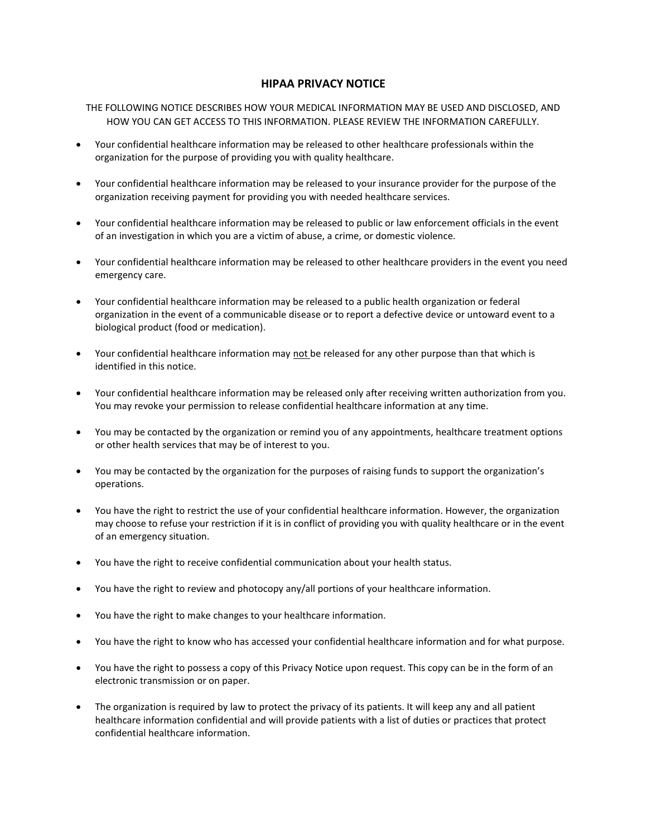## **HIPAA PRIVACY NOTICE**

THE FOLLOWING NOTICE DESCRIBES HOW YOUR MEDICAL INFORMATION MAY BE USED AND DISCLOSED, AND HOW YOU CAN GET ACCESS TO THIS INFORMATION. PLEASE REVIEW THE INFORMATION CAREFULLY.

- Your confidential healthcare information may be released to other healthcare professionals within the organization for the purpose of providing you with quality healthcare.
- Your confidential healthcare information may be released to your insurance provider for the purpose of the organization receiving payment for providing you with needed healthcare services.
- Your confidential healthcare information may be released to public or law enforcement officials in the event of an investigation in which you are a victim of abuse, a crime, or domestic violence.
- Your confidential healthcare information may be released to other healthcare providers in the event you need emergency care.
- Your confidential healthcare information may be released to a public health organization or federal organization in the event of a communicable disease or to report a defective device or untoward event to a biological product (food or medication).
- Your confidential healthcare information may not be released for any other purpose than that which is identified in this notice.
- Your confidential healthcare information may be released only after receiving written authorization from you. You may revoke your permission to release confidential healthcare information at any time.
- You may be contacted by the organization or remind you of any appointments, healthcare treatment options or other health services that may be of interest to you.
- You may be contacted by the organization for the purposes of raising funds to support the organization's operations.
- You have the right to restrict the use of your confidential healthcare information. However, the organization may choose to refuse your restriction if it is in conflict of providing you with quality healthcare or in the event of an emergency situation.
- You have the right to receive confidential communication about your health status.
- You have the right to review and photocopy any/all portions of your healthcare information.
- You have the right to make changes to your healthcare information.
- You have the right to know who has accessed your confidential healthcare information and for what purpose.
- You have the right to possess a copy of this Privacy Notice upon request. This copy can be in the form of an electronic transmission or on paper.
- The organization is required by law to protect the privacy of its patients. It will keep any and all patient healthcare information confidential and will provide patients with a list of duties or practices that protect confidential healthcare information.